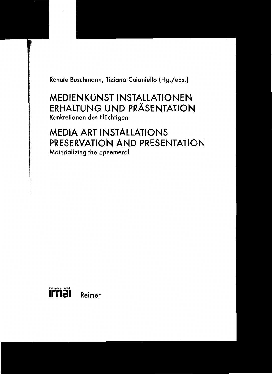Renate Buschmann, Tiziana Caianiello (Hg./eds.)

# **MEDIENKUNST INSTALLATIONEN ERHALTUNG UND PRÄSENTATION** Konkretionen des Flüchtigen

# **MEDIA ART INSTALLATIONS PRESERVATION AND PRESENTATION** Materializing the Ephemeral

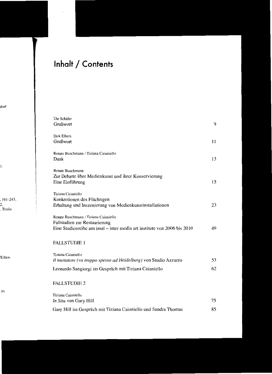# **Inhalt / Contents**

| Ute Schäfer                                                             |    |
|-------------------------------------------------------------------------|----|
| Grußwort                                                                | 9  |
| Dirk Elbers                                                             |    |
| Grußwort                                                                | 11 |
|                                                                         |    |
| Renate Buschmann / Tiziana Caianiello                                   |    |
| Dank                                                                    | 13 |
| Renate Buschmann                                                        |    |
| Zur Debatte über Medienkunst und ihrer Konservierung                    |    |
| Eine Einführung                                                         | 15 |
|                                                                         |    |
| Tiziana Caianiello                                                      |    |
| Konkretionen des Flüchtigen                                             |    |
| Erhaltung und Inszenierung von Medienkunstinstallationen                | 23 |
| Renate Buschmann / Tiziana Caianiello                                   |    |
| Fallstudien zur Restaurierung                                           |    |
| Eine Studienreihe am imai – inter media art institute von 2006 bis 2010 | 49 |
|                                                                         |    |
| <b>FALLSTUDIE 1</b>                                                     |    |
|                                                                         |    |
| Tiziana Caianiello                                                      |    |
| Il nuotatore (va troppo spesso ad Heidelberg) von Studio Azzurro        | 53 |
| Leonardo Sangiorgi im Gespräch mit Tiziana Caianiello                   | 62 |
|                                                                         |    |
| <b>FALLSTUDIE 2</b>                                                     |    |
|                                                                         |    |
| Tiziana Caianiello                                                      |    |
| In Situ von Gary Hill                                                   | 75 |
| Gary Hill im Gespräch mit Tiziana Caianiello und Sandra Thomas          | 85 |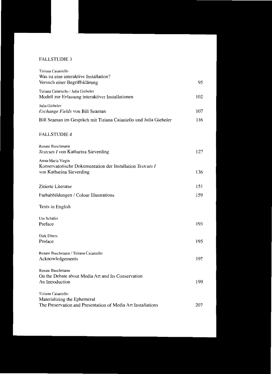## FALLSTUDIE 3

| Tiziana Caianiello<br>Was ist eine interaktive Installation?<br>Versuch einer Begriffsklärung                     | 95  |
|-------------------------------------------------------------------------------------------------------------------|-----|
| Tiziana Caianiello / Julia Giebeler<br>Modell zur Erfassung interaktiver Installationen                           | 102 |
| Julia Giebeler<br>Exchange Fields von Bill Seaman                                                                 | 107 |
| Bill Seaman im Gespräch mit Tiziana Caianiello und Julia Giebeler                                                 | 116 |
| <b>FALLSTUDIE 4</b>                                                                                               |     |
| Renate Buschmann<br>Testcuts I von Katharina Sieverding                                                           | 127 |
| Anna-Maria Virgin<br>Konservatorische Dokumentation der Installation Testcuts I<br>von Katharina Sieverding       | 136 |
| Zitierte Literatur                                                                                                | 151 |
| Farbabbildungen / Colour Illustrations                                                                            | 159 |
| Texts in English                                                                                                  |     |
| Ute Schäfer<br>Preface                                                                                            | 193 |
| Dirk Elbers<br>Preface                                                                                            | 195 |
| Renate Buschmann / Tiziana Caianiello<br>Acknowledgements                                                         | 197 |
| Renate Buschmann<br>On the Debate about Media Art and Its Conservation<br>An Introduction                         | 199 |
| Tiziana Caianiello<br>Materializing the Ephemeral<br>The Preservation and Presentation of Media Art Installations | 207 |